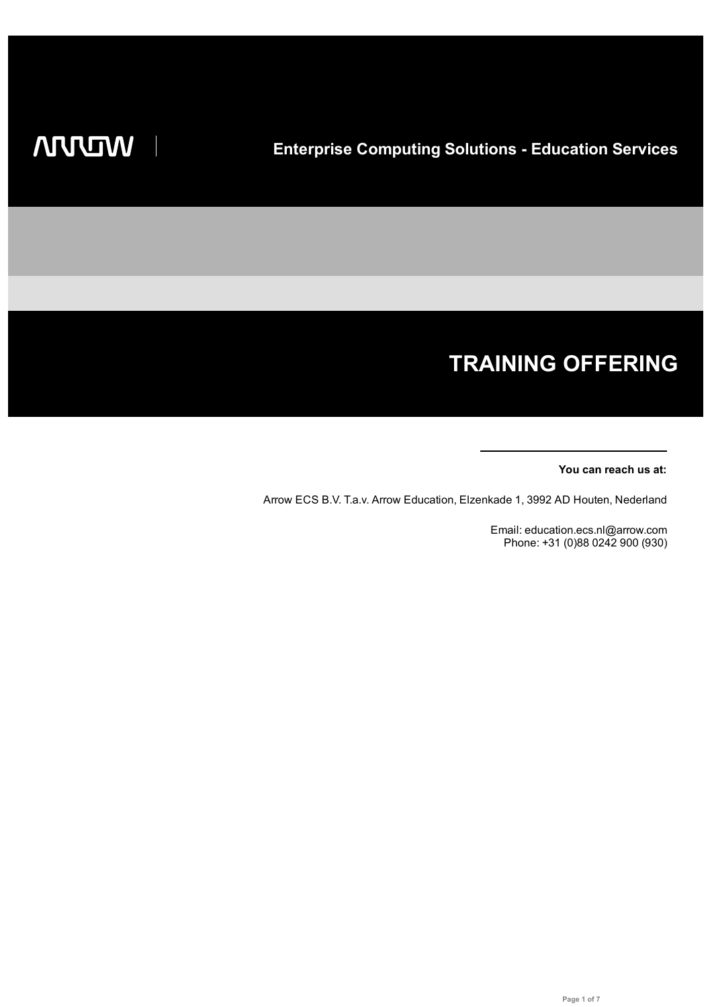# **TRAINING OFFERING**

### **You can reach us at:**

Arrow ECS B.V. T.a.v. Arrow Education, Elzenkade 1, 3992 AD Houten, Nederland

Email: education.ecs.nl@arrow.com Phone: +31 (0)88 0242 900 (930)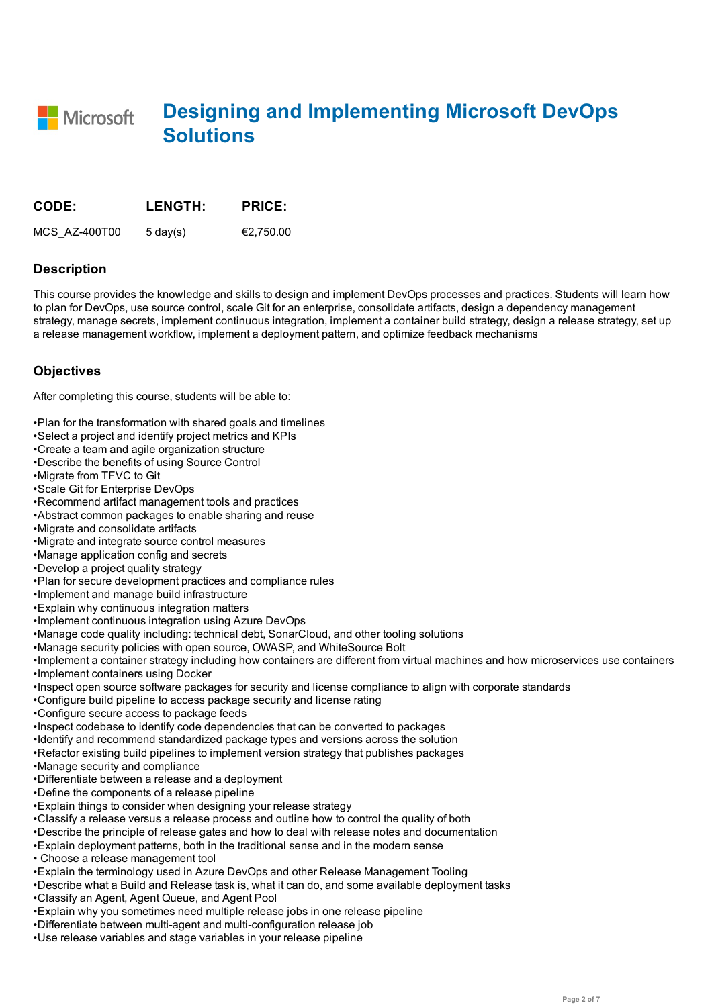**Designing and Implementing Microsoft DevOps** Microsoft **Solutions**

| <b>CODE:</b>  | <b>LENGTH:</b>     | <b>PRICE:</b> |
|---------------|--------------------|---------------|
| MCS AZ-400T00 | $5 \text{ day}(s)$ | €2.750.00     |

### **Description**

This course provides the knowledge and skills to design and implement DevOps processes and practices. Students will learn how to plan for DevOps, use source control, scale Git for an enterprise, consolidate artifacts, design a dependency management strategy, manage secrets, implement continuous integration, implement a container build strategy, design a release strategy, set up a release management workflow, implement a deployment pattern, and optimize feedback mechanisms

# **Objectives**

After completing this course, students will be able to:

- •Plan for the transformation with shared goals and timelines
- •Select a project and identify project metrics and KPIs
- •Create a team and agile organization structure
- •Describe the benefits of using Source Control
- •Migrate from TFVC to Git
- •Scale Git for Enterprise DevOps
- •Recommend artifact management tools and practices
- •Abstract common packages to enable sharing and reuse
- •Migrate and consolidate artifacts
- •Migrate and integrate source control measures
- •Manage application config and secrets
- •Develop a project quality strategy
- •Plan for secure development practices and compliance rules
- •Implement and manage build infrastructure
- •Explain why continuous integration matters
- •Implement continuous integration using Azure DevOps
- •Manage code quality including: technical debt, SonarCloud, and other tooling solutions
- •Manage security policies with open source, OWASP, and WhiteSource Bolt
- •Implement a container strategy including how containers are different from virtual machines and how microservices use containers
- •Implement containers using Docker
- •Inspect open source software packages for security and license compliance to align with corporate standards
- •Configure build pipeline to access package security and license rating
- •Configure secure access to package feeds
- •Inspect codebase to identify code dependencies that can be converted to packages
- •Identify and recommend standardized package types and versions across the solution
- •Refactor existing build pipelines to implement version strategy that publishes packages
- •Manage security and compliance
- •Differentiate between a release and a deployment
- •Define the components of a release pipeline
- •Explain things to consider when designing your release strategy
- •Classify a release versus a release process and outline how to control the quality of both
- •Describe the principle of release gates and how to deal with release notes and documentation
- •Explain deployment patterns, both in the traditional sense and in the modern sense
- Choose a release management tool
- •Explain the terminology used in Azure DevOps and other Release Management Tooling
- •Describe what a Build and Release task is, what it can do, and some available deployment tasks
- •Classify an Agent, Agent Queue, and Agent Pool
- •Explain why you sometimes need multiple release jobs in one release pipeline
- •Differentiate between multi-agent and multi-configuration release job
- •Use release variables and stage variables in your release pipeline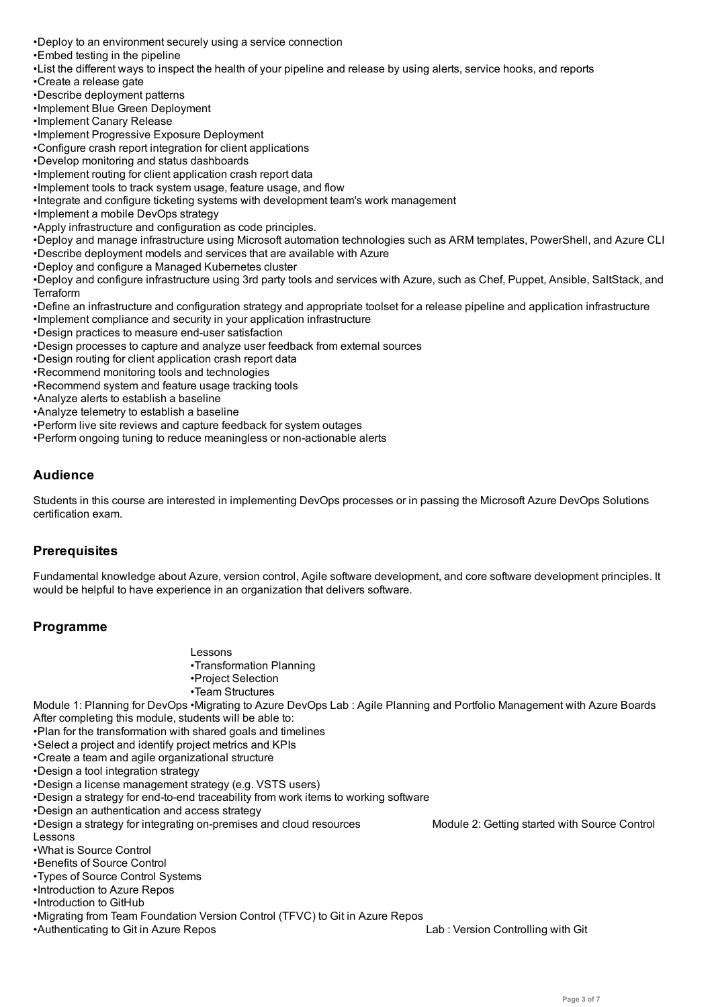- •Embed testing in the pipeline
- •List the different ways to inspect the health of your pipeline and release by using alerts, service hooks, and reports
- •Create a release gate
- •Describe deployment patterns
- •Implement Blue Green Deployment
- •Implement Canary Release
- •Implement Progressive Exposure Deployment
- •Configure crash report integration for client applications
- •Develop monitoring and status dashboards
- •Implement routing for client application crash report data
- •Implement tools to track system usage, feature usage, and flow
- •Integrate and configure ticketing systems with development team's work management
- •Implement a mobile DevOps strategy
- •Apply infrastructure and configuration as code principles.
- •Deploy and manage infrastructure using Microsoft automation technologies such as ARM templates, PowerShell, and Azure CLI
- •Describe deployment models and services that are available with Azure
- •Deploy and configure a Managed Kubernetes cluster

•Deploy and configure infrastructure using 3rd party tools and services with Azure, such as Chef, Puppet, Ansible, SaltStack, and **Terraform** 

- •Define an infrastructure and configuration strategy and appropriate toolset for a release pipeline and application infrastructure
- •Implement compliance and security in your application infrastructure
- •Design practices to measure end-user satisfaction
- •Design processes to capture and analyze user feedback from external sources
- •Design routing for client application crash report data
- •Recommend monitoring tools and technologies
- •Recommend system and feature usage tracking tools
- •Analyze alerts to establish a baseline
- •Analyze telemetry to establish a baseline
- •Perform live site reviews and capture feedback for system outages
- •Perform ongoing tuning to reduce meaningless or non-actionable alerts

# **Audience**

Students in this course are interested in implementing DevOps processes or in passing the Microsoft Azure DevOps Solutions certification exam.

# **Prerequisites**

Fundamental knowledge about Azure, version control, Agile software development, and core software development principles. It would be helpful to have experience in an organization that delivers software.

# **Programme**

- Lessons
- •Transformation Planning
- •Project Selection
- •Team Structures

Module 1: Planning for DevOps •Migrating to Azure DevOps Lab : Agile Planning and Portfolio Management with Azure Boards After completing this module, students will be able to:

- •Plan for the transformation with shared goals and timelines
- •Select a project and identify project metrics and KPIs
- •Create a team and agile organizational structure
- •Design a tool integration strategy
- •Design a license management strategy (e.g. VSTS users)
- •Design a strategy for end-to-end traceability from work items to working software
- •Design an authentication and access strategy
- •Design a strategy for integrating on-premises and cloud resources Module 2: Getting started with Source Control Lessons
- •What is Source Control
- •Benefits of Source Control
- •Types of Source Control Systems
- •Introduction to Azure Repos
- •Introduction to GitHub
- •Migrating from Team Foundation Version Control (TFVC) to Git in Azure Repos
- •Authenticating to Git in Azure Repos Lab : Version Controlling with Git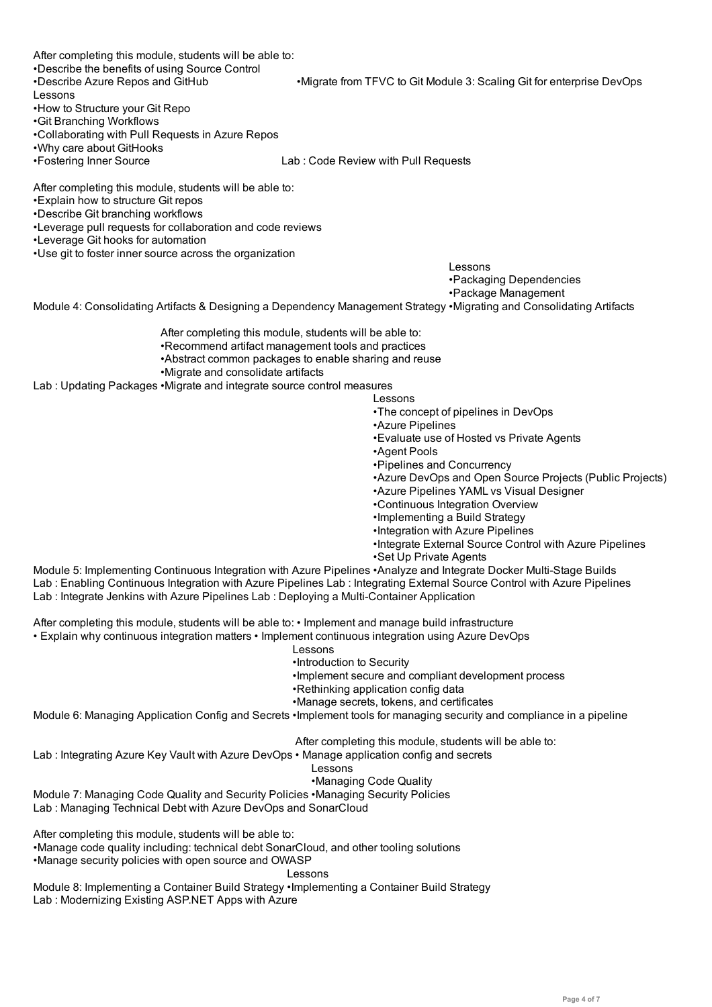After completing this module, students will be able to: •Describe the benefits of using Source Control

- •Describe Azure Repos and GitHub •Migrate from TFVC to Git Module 3: Scaling Git for enterprise DevOps
- Lessons
- •How to Structure your Git Repo
- •Git Branching Workflows
- •Collaborating with Pull Requests in Azure Repos
- •Why care about GitHooks
- 

•Fostering Inner Source Lab : Code Review with Pull Requests

After completing this module, students will be able to:

- •Explain how to structure Git repos
- •Describe Git branching workflows
- •Leverage pull requests for collaboration and code reviews
- •Leverage Git hooks for automation
- •Use git to foster inner source across the organization

Lessons

•Packaging Dependencies

# •Package Management

Module 4: Consolidating Artifacts & Designing a Dependency Management Strategy •Migrating and Consolidating Artifacts

After completing this module, students will be able to:

- •Recommend artifact management tools and practices
- •Abstract common packages to enable sharing and reuse
- •Migrate and consolidate artifacts

Lab : Updating Packages •Migrate and integrate source control measures

#### Lessons

- •The concept of pipelines in DevOps
- •Azure Pipelines
- •Evaluate use of Hosted vs Private Agents
- •Agent Pools
- •Pipelines and Concurrency
- •Azure DevOps and Open Source Projects (Public Projects)
- •Azure Pipelines YAML vs Visual Designer
- •Continuous Integration Overview
- •Implementing a Build Strategy
- •Integration with Azure Pipelines
- •Integrate External Source Control with Azure Pipelines
- •Set Up Private Agents

Module 5: Implementing Continuous Integration with Azure Pipelines •Analyze and Integrate Docker Multi-Stage Builds Lab : Enabling Continuous Integration with Azure Pipelines Lab : Integrating External Source Control with Azure Pipelines Lab : Integrate Jenkins with Azure Pipelines Lab : Deploying a Multi-Container Application

After completing this module, students will be able to: • Implement and manage build infrastructure

• Explain why continuous integration matters • Implement continuous integration using Azure DevOps

- Lessons
- •Introduction to Security
- •Implement secure and compliant development process
- •Rethinking application config data
- •Manage secrets, tokens, and certificates

Module 6: Managing Application Config and Secrets •Implement tools for managing security and compliance in a pipeline

After completing this module, students will be able to:

Lab : Integrating Azure Key Vault with Azure DevOps • Manage application config and secrets

## Lessons

#### •Managing Code Quality

Module 7: Managing Code Quality and Security Policies •Managing Security Policies Lab : Managing Technical Debt with Azure DevOps and SonarCloud

After completing this module, students will be able to:

•Manage code quality including: technical debt SonarCloud, and other tooling solutions

•Manage security policies with open source and OWASP

Lessons

Module 8: Implementing a Container Build Strategy •Implementing a Container Build Strategy Lab : Modernizing Existing ASP.NET Apps with Azure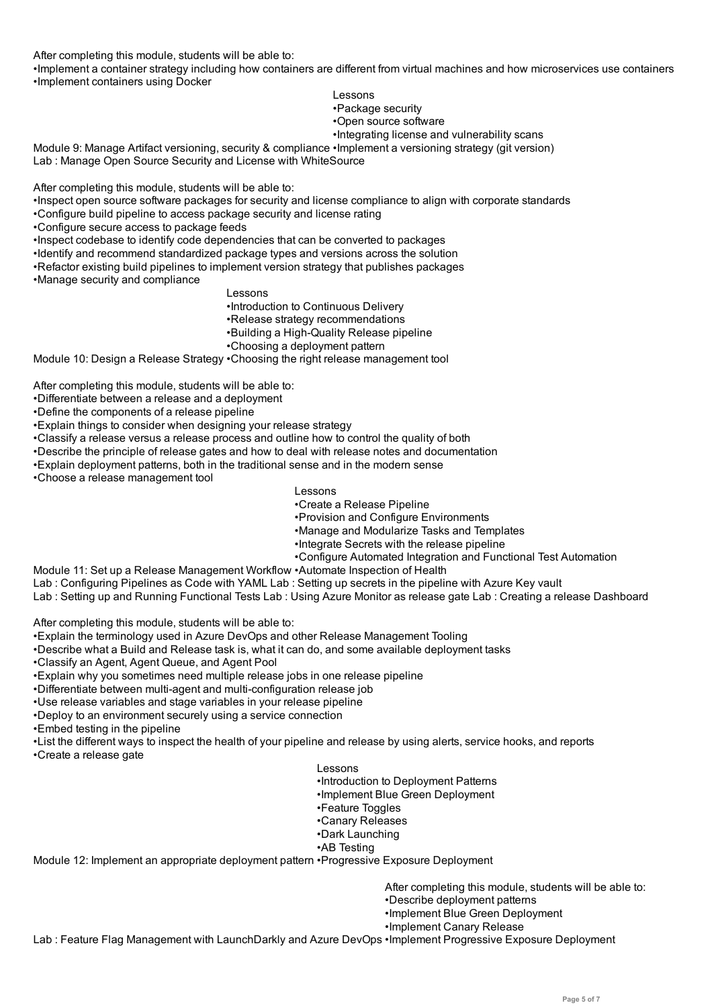After completing this module, students will be able to: •Implement a container strategy including how containers are different from virtual machines and how microservices use containers •Implement containers using Docker

- Lessons
- •Package security
- •Open source software
- •Integrating license and vulnerability scans

Module 9: Manage Artifact versioning, security & compliance •Implement a versioning strategy (git version) Lab : Manage Open Source Security and License with WhiteSource

After completing this module, students will be able to:

- •Inspect open source software packages for security and license compliance to align with corporate standards
- •Configure build pipeline to access package security and license rating
- •Configure secure access to package feeds
- •Inspect codebase to identify code dependencies that can be converted to packages
- •Identify and recommend standardized package types and versions across the solution
- •Refactor existing build pipelines to implement version strategy that publishes packages
- •Manage security and compliance

## Lessons

- •Introduction to Continuous Delivery
- •Release strategy recommendations
- •Building a High-Quality Release pipeline
- •Choosing a deployment pattern

Module 10: Design a Release Strategy •Choosing the right release management tool

After completing this module, students will be able to:

- •Differentiate between a release and a deployment
- •Define the components of a release pipeline
- •Explain things to consider when designing your release strategy
- •Classify a release versus a release process and outline how to control the quality of both
- •Describe the principle of release gates and how to deal with release notes and documentation
- •Explain deployment patterns, both in the traditional sense and in the modern sense

•Choose a release management tool

- Lessons
	- •Create a Release Pipeline
- •Provision and Configure Environments
- •Manage and Modularize Tasks and Templates
- •Integrate Secrets with the release pipeline
- •Configure Automated Integration and Functional Test Automation
- Module 11: Set up a Release Management Workflow •Automate Inspection of Health
- Lab : Configuring Pipelines as Code with YAML Lab : Setting up secrets in the pipeline with Azure Key vault
- Lab : Setting up and Running Functional Tests Lab : Using Azure Monitor as release gate Lab : Creating a release Dashboard

After completing this module, students will be able to:

- •Explain the terminology used in Azure DevOps and other Release Management Tooling
- •Describe what a Build and Release task is, what it can do, and some available deployment tasks
- •Classify an Agent, Agent Queue, and Agent Pool
- •Explain why you sometimes need multiple release jobs in one release pipeline
- •Differentiate between multi-agent and multi-configuration release job
- •Use release variables and stage variables in your release pipeline
- •Deploy to an environment securely using a service connection
- •Embed testing in the pipeline
- •List the different ways to inspect the health of your pipeline and release by using alerts, service hooks, and reports
- •Create a release gate

#### Lessons

- •Introduction to Deployment Patterns
- •Implement Blue Green Deployment
- •Feature Toggles
- •Canary Releases
- •Dark Launching
- •AB Testing

Module 12: Implement an appropriate deployment pattern •Progressive Exposure Deployment

After completing this module, students will be able to:

- •Describe deployment patterns
- •Implement Blue Green Deployment
- •Implement Canary Release

Lab : Feature Flag Management with LaunchDarkly and Azure DevOps •Implement Progressive Exposure Deployment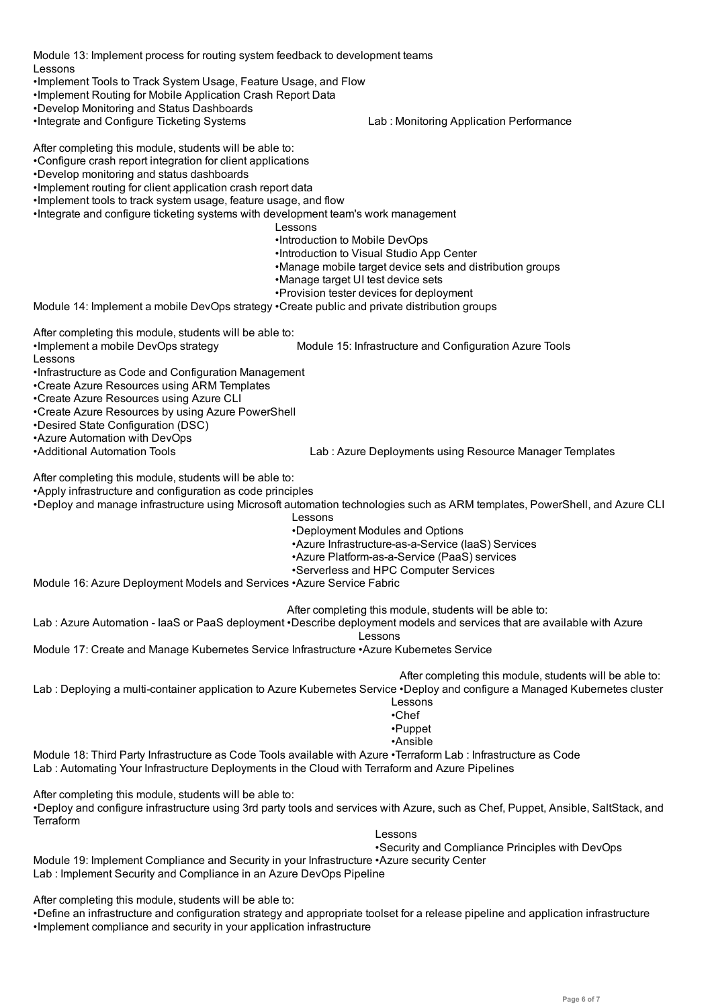Module 13: Implement process for routing system feedback to development teams Lessons

- •Implement Tools to Track System Usage, Feature Usage, and Flow
- •Implement Routing for Mobile Application Crash Report Data
- •Develop Monitoring and Status Dashboards
- 
- •Integrate and Configure Ticketing Systems Lab : Monitoring Application Performance

After completing this module, students will be able to:

- •Configure crash report integration for client applications
- •Develop monitoring and status dashboards
- •Implement routing for client application crash report data
- •Implement tools to track system usage, feature usage, and flow
- •Integrate and configure ticketing systems with development team's work management
	- Lessons
	- •Introduction to Mobile DevOps
	- •Introduction to Visual Studio App Center
	- •Manage mobile target device sets and distribution groups
	- •Manage target UI test device sets
	- •Provision tester devices for deployment

Module 14: Implement a mobile DevOps strategy •Create public and private distribution groups

After completing this module, students will be able to:

•Implement a mobile DevOps strategy Module 15: Infrastructure and Configuration Azure Tools

Lessons

- •Infrastructure as Code and Configuration Management
- •Create Azure Resources using ARM Templates
- •Create Azure Resources using Azure CLI
- •Create Azure Resources by using Azure PowerShell
- •Desired State Configuration (DSC)
- •Azure Automation with DevOps
- 

•Additional Automation Tools Lab : Azure Deployments using Resource Manager Templates

After completing this module, students will be able to:

•Apply infrastructure and configuration as code principles

- •Deploy and manage infrastructure using Microsoft automation technologies such as ARM templates, PowerShell, and Azure CLI
	- Lessons
		- •Deployment Modules and Options
			- •Azure Infrastructure-as-a-Service (IaaS) Services
		- •Azure Platform-as-a-Service (PaaS) services
		- •Serverless and HPC Computer Services

Module 16: Azure Deployment Models and Services •Azure Service Fabric

After completing this module, students will be able to:

Lab : Azure Automation - IaaS or PaaS deployment •Describe deployment models and services that are available with Azure

Lessons

Module 17: Create and Manage Kubernetes Service Infrastructure •Azure Kubernetes Service

Lab : Deploying a multi-container application to Azure Kubernetes Service •Deploy and configure a Managed Kubernetes cluster After completing this module, students will be able to:

- Lessons
- •Chef

•Puppet

•Ansible

Module 18: Third Party Infrastructure as Code Tools available with Azure •Terraform Lab : Infrastructure as Code Lab : Automating Your Infrastructure Deployments in the Cloud with Terraform and Azure Pipelines

After completing this module, students will be able to:

•Deploy and configure infrastructure using 3rd party tools and services with Azure, such as Chef, Puppet, Ansible, SaltStack, and **Terraform** 

Lessons

•Security and Compliance Principles with DevOps

Module 19: Implement Compliance and Security in your Infrastructure •Azure security Center Lab : Implement Security and Compliance in an Azure DevOps Pipeline

After completing this module, students will be able to:

•Define an infrastructure and configuration strategy and appropriate toolset for a release pipeline and application infrastructure •Implement compliance and security in your application infrastructure